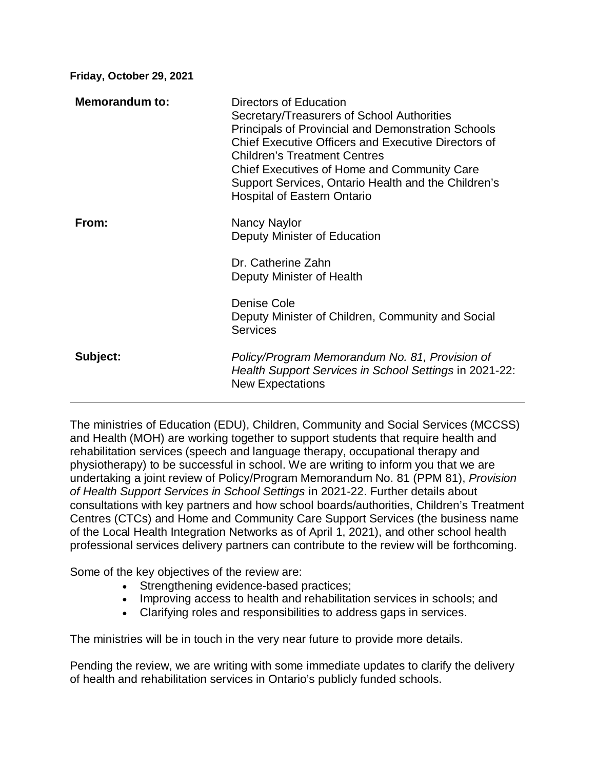**Friday, October 29, 2021**

| <b>Memorandum to:</b> | Directors of Education<br>Secretary/Treasurers of School Authorities<br>Principals of Provincial and Demonstration Schools<br><b>Chief Executive Officers and Executive Directors of</b><br><b>Children's Treatment Centres</b><br><b>Chief Executives of Home and Community Care</b><br>Support Services, Ontario Health and the Children's<br><b>Hospital of Eastern Ontario</b> |
|-----------------------|------------------------------------------------------------------------------------------------------------------------------------------------------------------------------------------------------------------------------------------------------------------------------------------------------------------------------------------------------------------------------------|
| From:                 | Nancy Naylor<br>Deputy Minister of Education                                                                                                                                                                                                                                                                                                                                       |
|                       | Dr. Catherine Zahn<br>Deputy Minister of Health                                                                                                                                                                                                                                                                                                                                    |
|                       | Denise Cole<br>Deputy Minister of Children, Community and Social<br><b>Services</b>                                                                                                                                                                                                                                                                                                |
| Subject:              | Policy/Program Memorandum No. 81, Provision of<br>Health Support Services in School Settings in 2021-22:<br><b>New Expectations</b>                                                                                                                                                                                                                                                |

The ministries of Education (EDU), Children, Community and Social Services (MCCSS) and Health (MOH) are working together to support students that require health and rehabilitation services (speech and language therapy, occupational therapy and physiotherapy) to be successful in school. We are writing to inform you that we are undertaking a joint review of Policy/Program Memorandum No. 81 (PPM 81), *Provision of Health Support Services in School Settings* in 2021-22. Further details about consultations with key partners and how school boards/authorities, Children's Treatment Centres (CTCs) and Home and Community Care Support Services (the business name of the Local Health Integration Networks as of April 1, 2021), and other school health professional services delivery partners can contribute to the review will be forthcoming.

Some of the key objectives of the review are:

- Strengthening evidence-based practices;
- Improving access to health and rehabilitation services in schools; and
- Clarifying roles and responsibilities to address gaps in services.

The ministries will be in touch in the very near future to provide more details.

Pending the review, we are writing with some immediate updates to clarify the delivery of health and rehabilitation services in Ontario's publicly funded schools.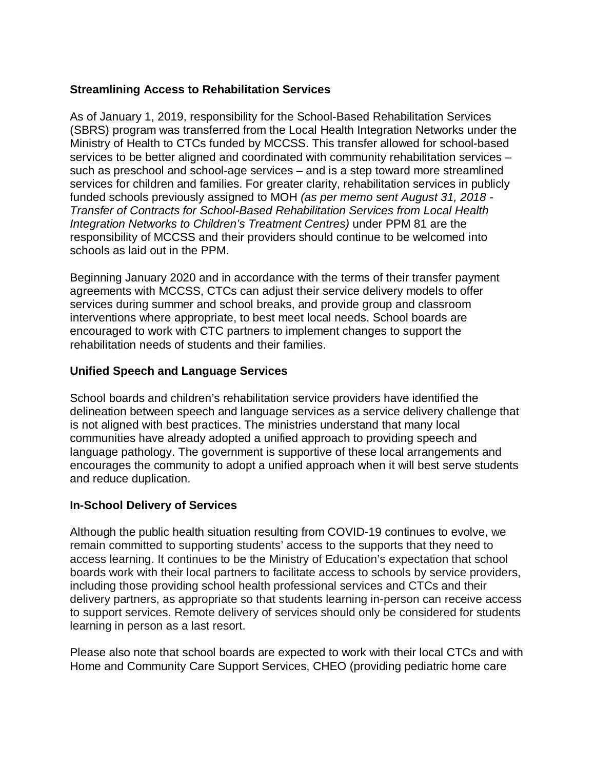## **Streamlining Access to Rehabilitation Services**

As of January 1, 2019, responsibility for the School-Based Rehabilitation Services (SBRS) program was transferred from the Local Health Integration Networks under the Ministry of Health to CTCs funded by MCCSS. This transfer allowed for school-based services to be better aligned and coordinated with community rehabilitation services – such as preschool and school-age services – and is a step toward more streamlined services for children and families. For greater clarity, rehabilitation services in publicly funded schools previously assigned to MOH *(as per memo sent August 31, 2018 - Transfer of Contracts for School-Based Rehabilitation Services from Local Health Integration Networks to Children's Treatment Centres)* under PPM 81 are the responsibility of MCCSS and their providers should continue to be welcomed into schools as laid out in the PPM.

Beginning January 2020 and in accordance with the terms of their transfer payment agreements with MCCSS, CTCs can adjust their service delivery models to offer services during summer and school breaks, and provide group and classroom interventions where appropriate, to best meet local needs. School boards are encouraged to work with CTC partners to implement changes to support the rehabilitation needs of students and their families.

## **Unified Speech and Language Services**

School boards and children's rehabilitation service providers have identified the delineation between speech and language services as a service delivery challenge that is not aligned with best practices. The ministries understand that many local communities have already adopted a unified approach to providing speech and language pathology. The government is supportive of these local arrangements and encourages the community to adopt a unified approach when it will best serve students and reduce duplication.

## **In-School Delivery of Services**

Although the public health situation resulting from COVID-19 continues to evolve, we remain committed to supporting students' access to the supports that they need to access learning. It continues to be the Ministry of Education's expectation that school boards work with their local partners to facilitate access to schools by service providers, including those providing school health professional services and CTCs and their delivery partners, as appropriate so that students learning in-person can receive access to support services. Remote delivery of services should only be considered for students learning in person as a last resort.

Please also note that school boards are expected to work with their local CTCs and with Home and Community Care Support Services, CHEO (providing pediatric home care